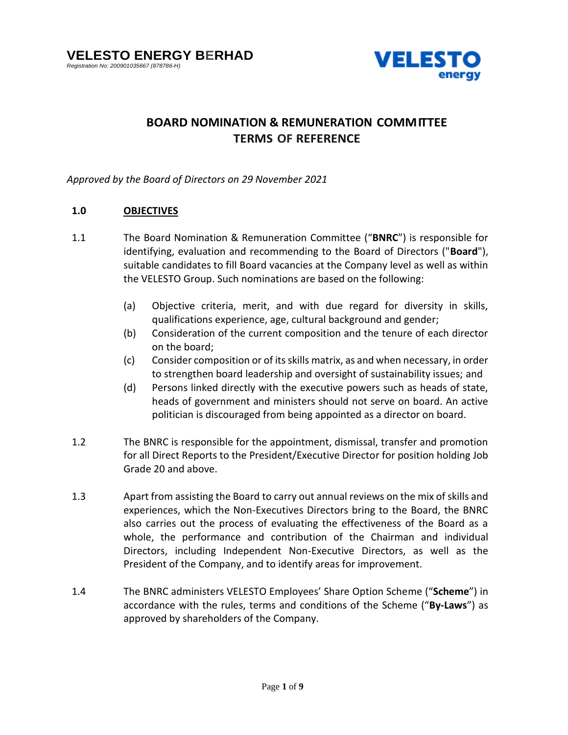

# **BOARD NOMINATION & REMUNERATION COMMITTEE TERMS OF REFERENCE**

*Approved by the Board of Directors on 29 November 2021*

# **1.0 OBJECTIVES**

- 1.1 The Board Nomination & Remuneration Committee ("**BNRC**") is responsible for identifying, evaluation and recommending to the Board of Directors ("**Board**"), suitable candidates to fill Board vacancies at the Company level as well as within the VELESTO Group. Such nominations are based on the following:
	- (a) Objective criteria, merit, and with due regard for diversity in skills, qualifications experience, age, cultural background and gender;
	- (b) Consideration of the current composition and the tenure of each director on the board;
	- (c) Consider composition or of its skills matrix, as and when necessary, in order to strengthen board leadership and oversight of sustainability issues; and
	- (d) Persons linked directly with the executive powers such as heads of state, heads of government and ministers should not serve on board. An active politician is discouraged from being appointed as a director on board.
- 1.2 The BNRC is responsible for the appointment, dismissal, transfer and promotion for all Direct Reports to the President/Executive Director for position holding Job Grade 20 and above.
- 1.3 Apart from assisting the Board to carry out annual reviews on the mix of skills and experiences, which the Non-Executives Directors bring to the Board, the BNRC also carries out the process of evaluating the effectiveness of the Board as a whole, the performance and contribution of the Chairman and individual Directors, including Independent Non-Executive Directors, as well as the President of the Company, and to identify areas for improvement.
- 1.4 The BNRC administers VELESTO Employees' Share Option Scheme ("**Scheme**") in accordance with the rules, terms and conditions of the Scheme ("**By-Laws**") as approved by shareholders of the Company.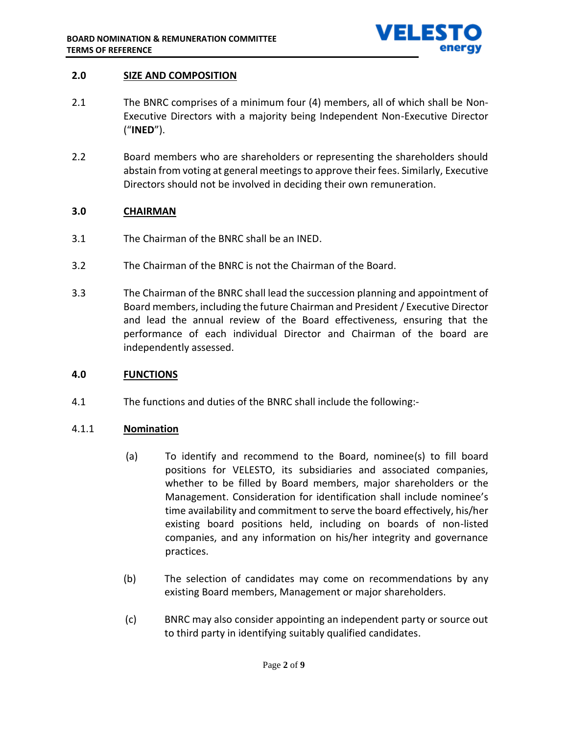

# **2.0 SIZE AND COMPOSITION**

- 2.1 The BNRC comprises of a minimum four (4) members, all of which shall be Non-Executive Directors with a majority being Independent Non-Executive Director ("**INED**").
- 2.2 Board members who are shareholders or representing the shareholders should abstain from voting at general meetings to approve their fees. Similarly, Executive Directors should not be involved in deciding their own remuneration.

# **3.0 CHAIRMAN**

- 3.1 The Chairman of the BNRC shall be an INED.
- 3.2 The Chairman of the BNRC is not the Chairman of the Board.
- 3.3 The Chairman of the BNRC shall lead the succession planning and appointment of Board members, including the future Chairman and President / Executive Director and lead the annual review of the Board effectiveness, ensuring that the performance of each individual Director and Chairman of the board are independently assessed.

# **4.0 FUNCTIONS**

4.1 The functions and duties of the BNRC shall include the following:-

# 4.1.1 **Nomination**

- (a) To identify and recommend to the Board, nominee(s) to fill board positions for VELESTO, its subsidiaries and associated companies, whether to be filled by Board members, major shareholders or the Management. Consideration for identification shall include nominee's time availability and commitment to serve the board effectively, his/her existing board positions held, including on boards of non-listed companies, and any information on his/her integrity and governance practices.
- (b) The selection of candidates may come on recommendations by any existing Board members, Management or major shareholders.
- (c) BNRC may also consider appointing an independent party or source out to third party in identifying suitably qualified candidates.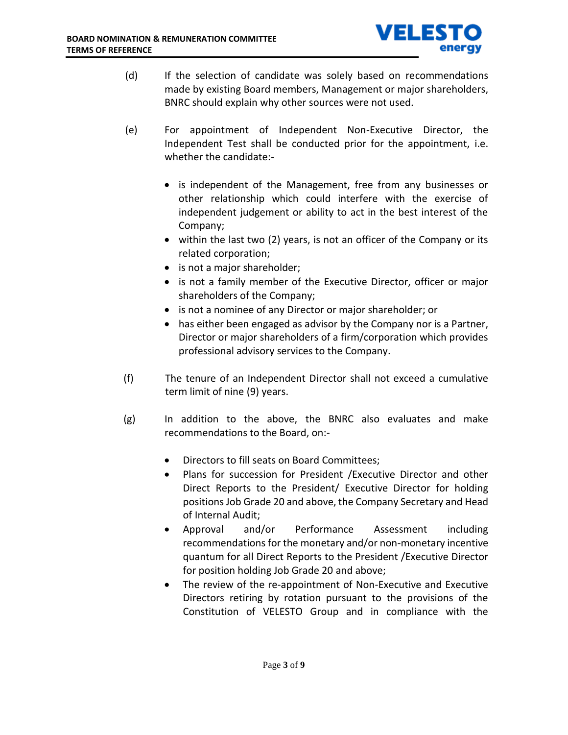

- (d) If the selection of candidate was solely based on recommendations made by existing Board members, Management or major shareholders, BNRC should explain why other sources were not used.
- (e) For appointment of Independent Non-Executive Director, the Independent Test shall be conducted prior for the appointment, i.e. whether the candidate:-
	- is independent of the Management, free from any businesses or other relationship which could interfere with the exercise of independent judgement or ability to act in the best interest of the Company;
	- within the last two (2) years, is not an officer of the Company or its related corporation;
	- is not a major shareholder;
	- is not a family member of the Executive Director, officer or major shareholders of the Company;
	- is not a nominee of any Director or major shareholder; or
	- has either been engaged as advisor by the Company nor is a Partner, Director or major shareholders of a firm/corporation which provides professional advisory services to the Company.
- (f) The tenure of an Independent Director shall not exceed a cumulative term limit of nine (9) years.
- (g) In addition to the above, the BNRC also evaluates and make recommendations to the Board, on:-
	- Directors to fill seats on Board Committees;
	- Plans for succession for President /Executive Director and other Direct Reports to the President/ Executive Director for holding positions Job Grade 20 and above, the Company Secretary and Head of Internal Audit;
	- Approval and/or Performance Assessment including recommendations for the monetary and/or non-monetary incentive quantum for all Direct Reports to the President /Executive Director for position holding Job Grade 20 and above;
	- The review of the re-appointment of Non-Executive and Executive Directors retiring by rotation pursuant to the provisions of the Constitution of VELESTO Group and in compliance with the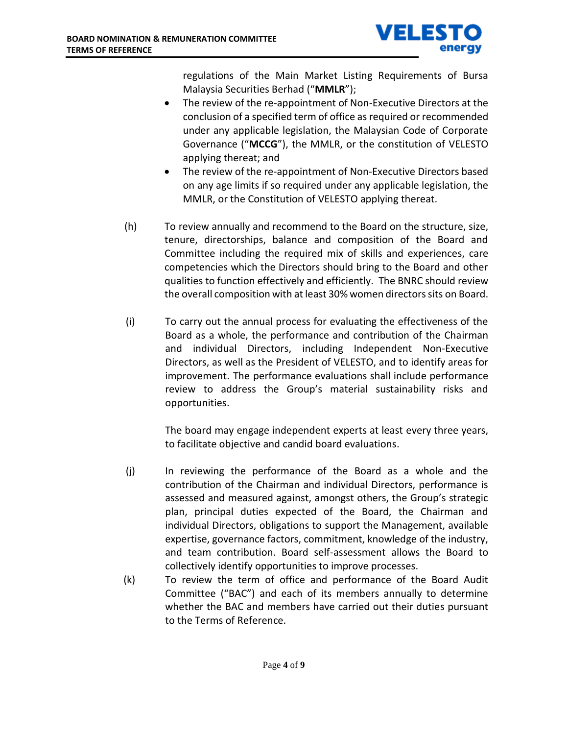

regulations of the Main Market Listing Requirements of Bursa Malaysia Securities Berhad ("**MMLR**");

- The review of the re-appointment of Non-Executive Directors at the conclusion of a specified term of office as required or recommended under any applicable legislation, the Malaysian Code of Corporate Governance ("**MCCG**"), the MMLR, or the constitution of VELESTO applying thereat; and
- The review of the re-appointment of Non-Executive Directors based on any age limits if so required under any applicable legislation, the MMLR, or the Constitution of VELESTO applying thereat.
- (h) To review annually and recommend to the Board on the structure, size, tenure, directorships, balance and composition of the Board and Committee including the required mix of skills and experiences, care competencies which the Directors should bring to the Board and other qualities to function effectively and efficiently. The BNRC should review the overall composition with at least 30% women directors sits on Board.
- (i) To carry out the annual process for evaluating the effectiveness of the Board as a whole, the performance and contribution of the Chairman and individual Directors, including Independent Non-Executive Directors, as well as the President of VELESTO, and to identify areas for improvement. The performance evaluations shall include performance review to address the Group's material sustainability risks and opportunities.

The board may engage independent experts at least every three years, to facilitate objective and candid board evaluations.

- (j) In reviewing the performance of the Board as a whole and the contribution of the Chairman and individual Directors, performance is assessed and measured against, amongst others, the Group's strategic plan, principal duties expected of the Board, the Chairman and individual Directors, obligations to support the Management, available expertise, governance factors, commitment, knowledge of the industry, and team contribution. Board self-assessment allows the Board to collectively identify opportunities to improve processes.
- (k) To review the term of office and performance of the Board Audit Committee ("BAC") and each of its members annually to determine whether the BAC and members have carried out their duties pursuant to the Terms of Reference.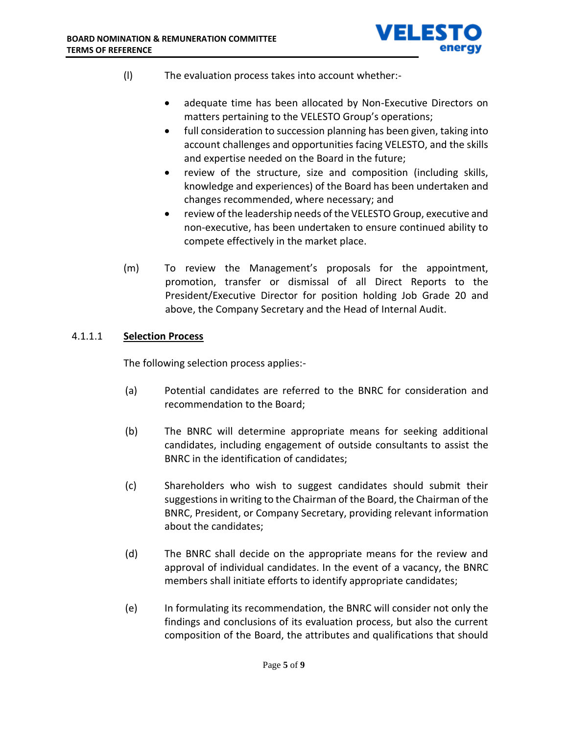

- (l) The evaluation process takes into account whether:-
	- adequate time has been allocated by Non-Executive Directors on matters pertaining to the VELESTO Group's operations;
	- full consideration to succession planning has been given, taking into account challenges and opportunities facing VELESTO, and the skills and expertise needed on the Board in the future;
	- review of the structure, size and composition (including skills, knowledge and experiences) of the Board has been undertaken and changes recommended, where necessary; and
	- review of the leadership needs of the VELESTO Group, executive and non-executive, has been undertaken to ensure continued ability to compete effectively in the market place.
- (m) To review the Management's proposals for the appointment, promotion, transfer or dismissal of all Direct Reports to the President/Executive Director for position holding Job Grade 20 and above, the Company Secretary and the Head of Internal Audit.

# 4.1.1.1 **Selection Process**

The following selection process applies:-

- (a) Potential candidates are referred to the BNRC for consideration and recommendation to the Board;
- (b) The BNRC will determine appropriate means for seeking additional candidates, including engagement of outside consultants to assist the BNRC in the identification of candidates;
- (c) Shareholders who wish to suggest candidates should submit their suggestions in writing to the Chairman of the Board, the Chairman of the BNRC, President, or Company Secretary, providing relevant information about the candidates;
- (d) The BNRC shall decide on the appropriate means for the review and approval of individual candidates. In the event of a vacancy, the BNRC members shall initiate efforts to identify appropriate candidates;
- (e) In formulating its recommendation, the BNRC will consider not only the findings and conclusions of its evaluation process, but also the current composition of the Board, the attributes and qualifications that should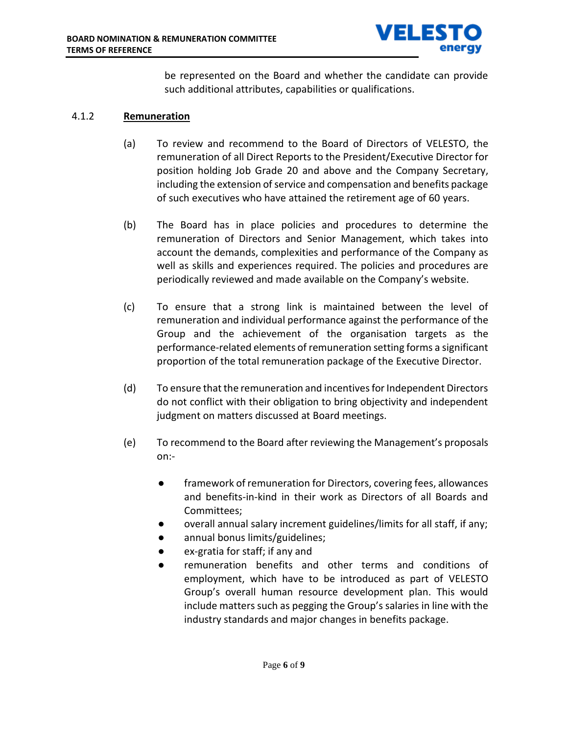

be represented on the Board and whether the candidate can provide such additional attributes, capabilities or qualifications.

#### 4.1.2 **Remuneration**

- (a) To review and recommend to the Board of Directors of VELESTO, the remuneration of all Direct Reports to the President/Executive Director for position holding Job Grade 20 and above and the Company Secretary, including the extension of service and compensation and benefits package of such executives who have attained the retirement age of 60 years.
- (b) The Board has in place policies and procedures to determine the remuneration of Directors and Senior Management, which takes into account the demands, complexities and performance of the Company as well as skills and experiences required. The policies and procedures are periodically reviewed and made available on the Company's website.
- (c) To ensure that a strong link is maintained between the level of remuneration and individual performance against the performance of the Group and the achievement of the organisation targets as the performance-related elements of remuneration setting forms a significant proportion of the total remuneration package of the Executive Director.
- (d) To ensure that the remuneration and incentives for Independent Directors do not conflict with their obligation to bring objectivity and independent judgment on matters discussed at Board meetings.
- (e) To recommend to the Board after reviewing the Management's proposals on:-
	- framework of remuneration for Directors, covering fees, allowances and benefits-in-kind in their work as Directors of all Boards and Committees;
	- overall annual salary increment guidelines/limits for all staff, if any;
	- annual bonus limits/guidelines;
	- ex-gratia for staff; if any and
	- remuneration benefits and other terms and conditions of employment, which have to be introduced as part of VELESTO Group's overall human resource development plan. This would include matters such as pegging the Group's salaries in line with the industry standards and major changes in benefits package.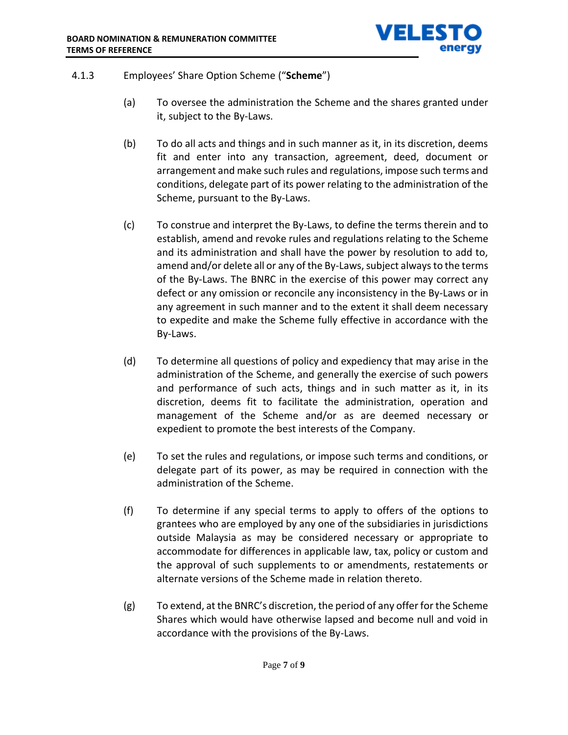

- 4.1.3 Employees' Share Option Scheme ("**Scheme**")
	- (a) To oversee the administration the Scheme and the shares granted under it, subject to the By-Laws.
	- (b) To do all acts and things and in such manner as it, in its discretion, deems fit and enter into any transaction, agreement, deed, document or arrangement and make such rules and regulations, impose such terms and conditions, delegate part of its power relating to the administration of the Scheme, pursuant to the By-Laws.
	- (c) To construe and interpret the By-Laws, to define the terms therein and to establish, amend and revoke rules and regulations relating to the Scheme and its administration and shall have the power by resolution to add to, amend and/or delete all or any of the By-Laws, subject always to the terms of the By-Laws. The BNRC in the exercise of this power may correct any defect or any omission or reconcile any inconsistency in the By-Laws or in any agreement in such manner and to the extent it shall deem necessary to expedite and make the Scheme fully effective in accordance with the By-Laws.
	- (d) To determine all questions of policy and expediency that may arise in the administration of the Scheme, and generally the exercise of such powers and performance of such acts, things and in such matter as it, in its discretion, deems fit to facilitate the administration, operation and management of the Scheme and/or as are deemed necessary or expedient to promote the best interests of the Company.
	- (e) To set the rules and regulations, or impose such terms and conditions, or delegate part of its power, as may be required in connection with the administration of the Scheme.
	- (f) To determine if any special terms to apply to offers of the options to grantees who are employed by any one of the subsidiaries in jurisdictions outside Malaysia as may be considered necessary or appropriate to accommodate for differences in applicable law, tax, policy or custom and the approval of such supplements to or amendments, restatements or alternate versions of the Scheme made in relation thereto.
	- (g) To extend, at the BNRC's discretion, the period of any offer for the Scheme Shares which would have otherwise lapsed and become null and void in accordance with the provisions of the By-Laws.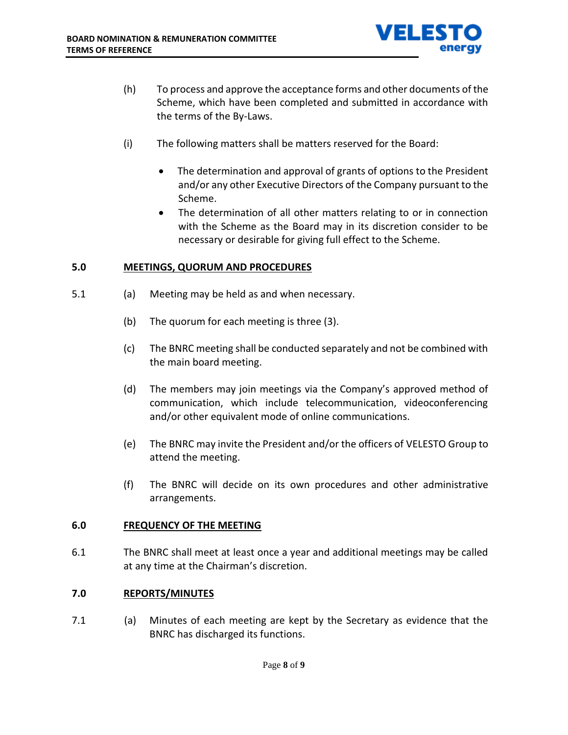

- (h) To process and approve the acceptance forms and other documents of the Scheme, which have been completed and submitted in accordance with the terms of the By-Laws.
- (i) The following matters shall be matters reserved for the Board:
	- The determination and approval of grants of options to the President and/or any other Executive Directors of the Company pursuant to the Scheme.
	- The determination of all other matters relating to or in connection with the Scheme as the Board may in its discretion consider to be necessary or desirable for giving full effect to the Scheme.

# **5.0 MEETINGS, QUORUM AND PROCEDURES**

- 5.1 (a) Meeting may be held as and when necessary.
	- (b) The quorum for each meeting is three (3).
	- (c) The BNRC meeting shall be conducted separately and not be combined with the main board meeting.
	- (d) The members may join meetings via the Company's approved method of communication, which include telecommunication, videoconferencing and/or other equivalent mode of online communications.
	- (e) The BNRC may invite the President and/or the officers of VELESTO Group to attend the meeting.
	- (f) The BNRC will decide on its own procedures and other administrative arrangements.

# **6.0 FREQUENCY OF THE MEETING**

6.1 The BNRC shall meet at least once a year and additional meetings may be called at any time at the Chairman's discretion.

# **7.0 REPORTS/MINUTES**

7.1 (a) Minutes of each meeting are kept by the Secretary as evidence that the BNRC has discharged its functions.